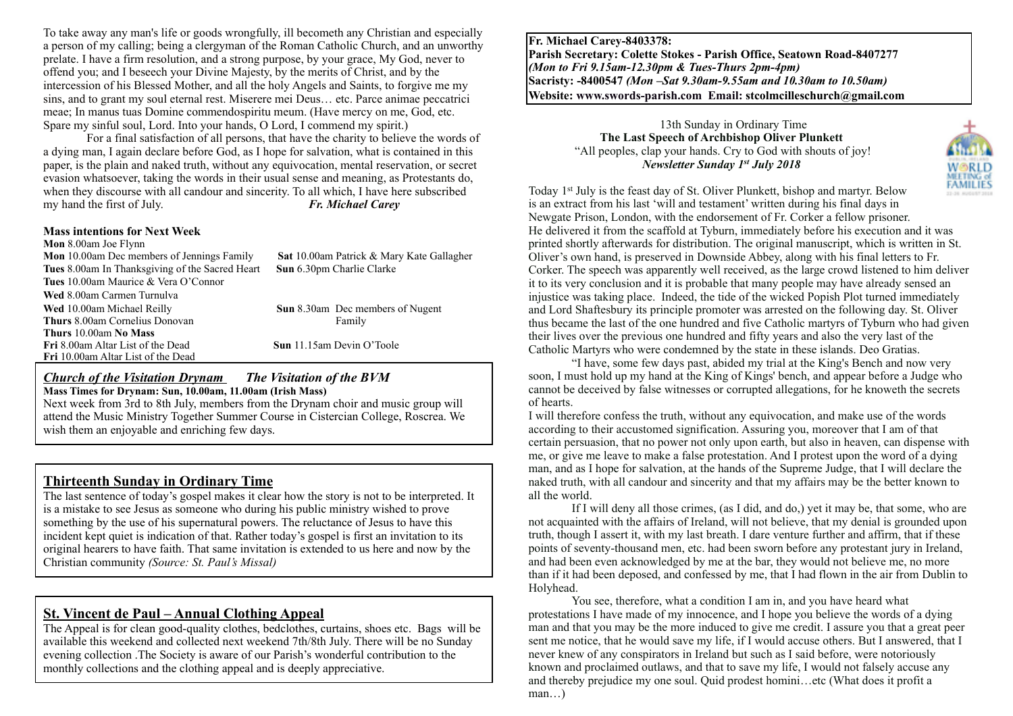To take away any man's life or goods wrongfully, ill becometh any Christian and especially a person of my calling; being a clergyman of the Roman Catholic Church, and an unworthy prelate. I have a firm resolution, and a strong purpose, by your grace, My God, never to offend you; and I beseech your Divine Majesty, by the merits of Christ, and by the intercession of his Blessed Mother, and all the holy Angels and Saints, to forgive me my sins, and to grant my soul eternal rest. Miserere mei Deus… etc. Parce animae peccatrici meae; In manus tuas Domine commendospiritu meum. (Have mercy on me, God, etc. Spare my sinful soul, Lord. Into your hands, O Lord, I commend my spirit.)

 For a final satisfaction of all persons, that have the charity to believe the words of a dying man, I again declare before God, as I hope for salvation, what is contained in this paper, is the plain and naked truth, without any equivocation, mental reservation, or secret evasion whatsoever, taking the words in their usual sense and meaning, as Protestants do, when they discourse with all candour and sincerity. To all which, I have here subscribed my hand the first of July. *Fr. Michael Carey*

#### **Mass intentions for Next Week**

**Mon** 8.00am Joe Flynn **Mon** 10.00am Dec members of Jennings Family **Sat** 10.00am Patrick & Mary Kate Gallagher **Tues** 8.00am In Thanksgiving of the Sacred Heart **Sun** 6.30pm Charlie Clarke **Tues** 10.00am Maurice & Vera O'Connor **Wed** 8.00am Carmen Turnulva **Wed** 10.00am Michael Reilly **Sun** 8.30am Dec members of Nugent **Thurs** 8.00am Cornelius Donovan Family **Thurs** 10.00am **No Mass Fri** 8.00am Altar List of the Dead **Sun** 11.15am Devin O'Toole **Fri** 10.00am Altar List of the Dead

#### *Church of the Visitation Drynam**The Visitation of the BVM* **Mass Times for Drynam: Sun, 10.00am, 11.00am (Irish Mass)**

Next week from 3rd to 8th July, members from the Drynam choir and music group will attend the Music Ministry Together Summer Course in Cistercian College, Roscrea. We wish them an enjoyable and enriching few days.

## **Thirteenth Sunday in Ordinary Time**

The last sentence of today's gospel makes it clear how the story is not to be interpreted. It is a mistake to see Jesus as someone who during his public ministry wished to prove something by the use of his supernatural powers. The reluctance of Jesus to have this incident kept quiet is indication of that. Rather today's gospel is first an invitation to its original hearers to have faith. That same invitation is extended to us here and now by the Christian community *(Source: St. Paul's Missal)*

## **St. Vincent de Paul – Annual Clothing Appeal**

The Appeal is for clean good-quality clothes, bedclothes, curtains, shoes etc. Bags will be available this weekend and collected next weekend 7th/8th July. There will be no Sunday evening collection .The Society is aware of our Parish's wonderful contribution to the monthly collections and the clothing appeal and is deeply appreciative.

**Fr. Michael Carey-8403378: Parish Secretary: Colette Stokes - Parish Office, Seatown Road-8407277**  *(Mon to Fri 9.15am-12.30pm & Tues-Thurs 2pm-4pm)*  **Sacristy: -8400547** *(Mon –Sat 9.30am-9.55am and 10.30am to 10.50am)* **Website: [www.swords-parish.com Email:](http://www.swords-parish.com%20%20email) stcolmcilleschurch@gmail.com**

> 13th Sunday in Ordinary Time **The Last Speech of Archbishop Oliver Plunkett** "All peoples, clap your hands. Cry to God with shouts of joy! *Newsletter Sunday 1st July 2018*



Today 1st July is the feast day of St. Oliver Plunkett, bishop and martyr. Below is an extract from his last 'will and testament' written during his final days in Newgate Prison, London, with the endorsement of Fr. Corker a fellow prisoner. He delivered it from the scaffold at Tyburn, immediately before his execution and it was printed shortly afterwards for distribution. The original manuscript, which is written in St. Oliver's own hand, is preserved in Downside Abbey, along with his final letters to Fr. Corker. The speech was apparently well received, as the large crowd listened to him deliver it to its very conclusion and it is probable that many people may have already sensed an injustice was taking place. Indeed, the tide of the wicked Popish Plot turned immediately and Lord Shaftesbury its principle promoter was arrested on the following day. St. Oliver thus became the last of the one hundred and five Catholic martyrs of Tyburn who had given their lives over the previous one hundred and fifty years and also the very last of the Catholic Martyrs who were condemned by the state in these islands. Deo Gratias.

 "I have, some few days past, abided my trial at the King's Bench and now very soon, I must hold up my hand at the King of Kings' bench, and appear before a Judge who cannot be deceived by false witnesses or corrupted allegations, for he knoweth the secrets of hearts.

I will therefore confess the truth, without any equivocation, and make use of the words according to their accustomed signification. Assuring you, moreover that I am of that certain persuasion, that no power not only upon earth, but also in heaven, can dispense with me, or give me leave to make a false protestation. And I protest upon the word of a dying man, and as I hope for salvation, at the hands of the Supreme Judge, that I will declare the naked truth, with all candour and sincerity and that my affairs may be the better known to all the world.

 If I will deny all those crimes, (as I did, and do,) yet it may be, that some, who are not acquainted with the affairs of Ireland, will not believe, that my denial is grounded upon truth, though I assert it, with my last breath. I dare venture further and affirm, that if these points of seventy-thousand men, etc. had been sworn before any protestant jury in Ireland, and had been even acknowledged by me at the bar, they would not believe me, no more than if it had been deposed, and confessed by me, that I had flown in the air from Dublin to Holyhead.

 You see, therefore, what a condition I am in, and you have heard what protestations I have made of my innocence, and I hope you believe the words of a dying man and that you may be the more induced to give me credit. I assure you that a great peer sent me notice, that he would save my life, if I would accuse others. But I answered, that I never knew of any conspirators in Ireland but such as I said before, were notoriously known and proclaimed outlaws, and that to save my life, I would not falsely accuse any and thereby prejudice my one soul. Quid prodest homini…etc (What does it profit a man…)